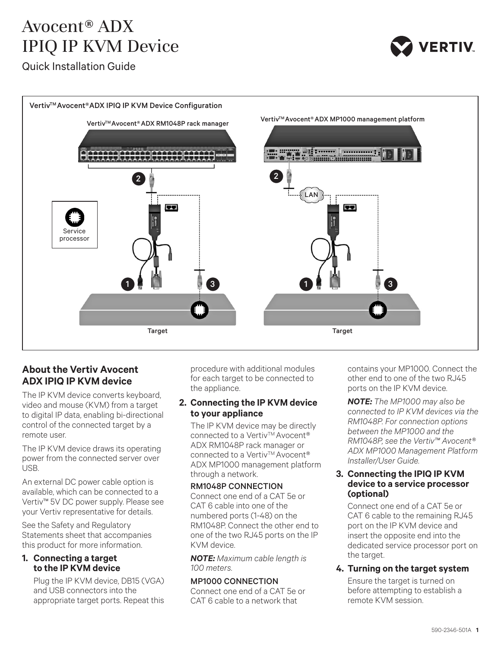# Avocent® ADX IPIQ IP KVM Device

Quick Installation Guide



# **About the Vertiv Avocent ADX IPIQ IP KVM device**

The IP KVM device converts keyboard, video and mouse (KVM) from a target to digital IP data, enabling bi-directional control of the connected target by a remote user.

The IP KVM device draws its operating power from the connected server over USB.

An external DC power cable option is available, which can be connected to a Vertiv™ 5V DC power supply. Please see your Vertiv representative for details.

See the Safety and Regulatory Statements sheet that accompanies this product for more information.

# **1. Connecting a target to the IP KVM device**

Plug the IP KVM device, DB15 (VGA) and USB connectors into the appropriate target ports. Repeat this procedure with additional modules for each target to be connected to the appliance.

# **2. Connecting the IP KVM device to your appliance**

The IP KVM device may be directly connected to a Vertiv<sup>TM</sup> Avocent<sup>®</sup> ADX RM1048P rack manager or connected to a Vertiv™ Avocent® ADX MP1000 management platform through a network.

#### RM1048P CONNECTION

Connect one end of a CAT 5e or CAT 6 cable into one of the numbered ports (1-48) on the RM1048P. Connect the other end to one of the two RJ45 ports on the IP KVM device.

*NOTE: Maximum cable length is 100 meters.* 

# MP1000 CONNECTION

Connect one end of a CAT 5e or CAT 6 cable to a network that

contains your MP1000. Connect the other end to one of the two RJ45 ports on the IP KVM device.

*NOTE: The MP1000 may also be connected to IP KVM devices via the RM1048P. For connection options between the MP1000 and the RM1048P, see the Vertiv™ Avocent® ADX MP1000 Management Platform Installer/User Guide.* 

### **3. Connecting the IPIQ IP KVM device to a service processor (optional)**

Connect one end of a CAT 5e or CAT 6 cable to the remaining RJ45 port on the IP KVM device and insert the opposite end into the dedicated service processor port on the target.

# **4. Turning on the target system**

Ensure the target is turned on before attempting to establish a remote KVM session.